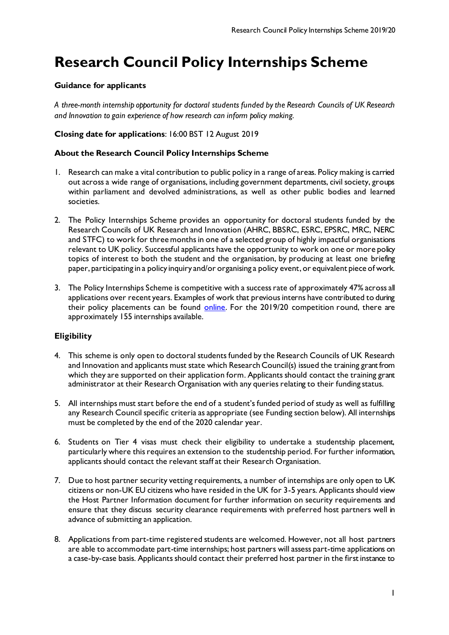# **Research Council Policy Internships Scheme**

## **Guidance for applicants**

*A three-month internship opportunity for doctoral students funded by the Research Councils of UK Research and Innovation to gain experience of how research can inform policy making.*

## **Closing date for applications**: 16:00 BST 12 August 2019

## **About the Research Council Policy Internships Scheme**

- 1. Research can make a vital contribution to public policy in a range of areas. Policy making is carried out across a wide range of organisations, including government departments, civil society, groups within parliament and devolved administrations, as well as other public bodies and learned societies.
- 2. The Policy Internships Scheme provides an opportunity for doctoral students funded by the Research Councils of UK Research and Innovation (AHRC, BBSRC, ESRC, EPSRC, MRC, NERC and STFC) to work for three months in one of a selected group of highly impactful organisations relevant to UK policy. Successful applicants have the opportunity to work on one or more policy topics of interest to both the student and the organisation, by producing at least one briefing paper, participating in a policy inquiry and/or organising a policy event, or equivalent piece of work.
- 3. The Policy Internships Scheme is competitive with a success rate of approximately 47% across all applications over recent years. Examples of work that previous interns have contributed to during their policy placements can be found [online.](http://www.nerc.ac.uk/funding/available/postgrad/advanced/policy-interns/) For the 2019/20 competition round, there are approximately 155 internships available.

## **Eligibility**

- 4. This scheme is only open to doctoral students funded by the Research Councils of UK Research and Innovation and applicants must state which Research Council(s) issued the training grant from which they are supported on their application form. Applicants should contact the training grant administrator at their Research Organisation with any queries relating to their funding status.
- 5. All internships must start before the end of a student's funded period of study as well as fulfilling any Research Council specific criteria as appropriate (see Funding section below). All internships must be completed by the end of the 2020 calendar year.
- 6. Students on Tier 4 visas must check their eligibility to undertake a studentship placement, particularly where this requires an extension to the studentship period. For further information, applicants should contact the relevant staff at their Research Organisation.
- 7. Due to host partner security vetting requirements, a number of internships are only open to UK citizens or non-UK EU citizens who have resided in the UK for 3-5 years. Applicants should view the Host Partner Information document for further information on security requirements and ensure that they discuss security clearance requirements with preferred host partners well in advance of submitting an application.
- 8. Applications from part-time registered students are welcomed. However, not all host partners are able to accommodate part-time internships; host partners will assess part-time applications on a case-by-case basis. Applicants should contact their preferred host partner in the first instance to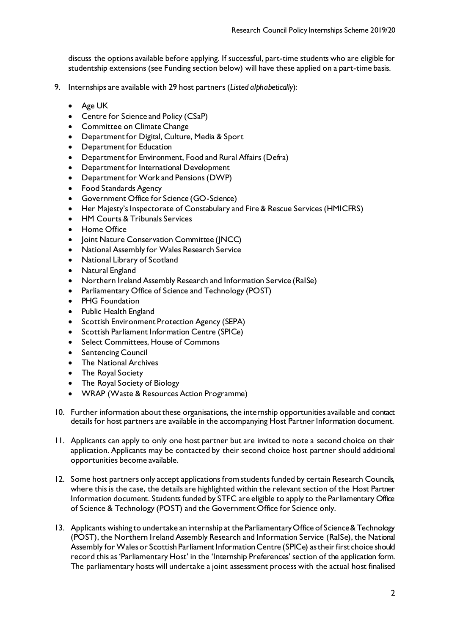discuss the options available before applying. If successful, part-time students who are eligible for studentship extensions (see Funding section below) will have these applied on a part-time basis.

- 9. Internships are available with 29 host partners (*Listed alphabetically*):
	- Age UK
	- Centre for Science and Policy (CSaP)
	- Committee on Climate Change
	- Department for Digital, Culture, Media & Sport
	- Department for Education
	- Department for Environment, Food and Rural Affairs (Defra)
	- Department for International Development
	- Department for Work and Pensions (DWP)
	- Food Standards Agency
	- Government Office for Science (GO-Science)
	- Her Majesty's Inspectorate of Constabulary and Fire & Rescue Services (HMICFRS)
	- HM Courts & Tribunals Services
	- Home Office
	- Joint Nature Conservation Committee (JNCC)
	- National Assembly for Wales Research Service
	- National Library of Scotland
	- Natural England
	- Northern Ireland Assembly Research and Information Service (RaISe)
	- Parliamentary Office of Science and Technology (POST)
	- PHG Foundation
	- Public Health England
	- Scottish Environment Protection Agency (SEPA)
	- Scottish Parliament Information Centre (SPICe)
	- Select Committees, House of Commons
	- Sentencing Council
	- The National Archives
	- The Royal Society
	- The Royal Society of Biology
	- WRAP (Waste & Resources Action Programme)
- 10. Further information about these organisations, the internship opportunities available and contact details for host partners are available in the accompanying Host Partner Information document.
- 11. Applicants can apply to only one host partner but are invited to note a second choice on their application. Applicants may be contacted by their second choice host partner should additional opportunities become available.
- 12. Some host partners only accept applications from students funded by certain Research Councils, where this is the case, the details are highlighted within the relevant section of the Host Partner Information document. Students funded by STFC are eligible to apply to the Parliamentary Office of Science & Technology (POST) and the Government Office for Science only.
- 13. Applicants wishing to undertake an internship at the Parliamentary Office of Science & Technology (POST), the Northern Ireland Assembly Research and Information Service (RaISe), the National Assembly for Wales or Scottish Parliament Information Centre (SPICe) as their first choice should record this as 'Parliamentary Host' in the 'Internship Preferences' section of the application form. The parliamentary hosts will undertake a joint assessment process with the actual host finalised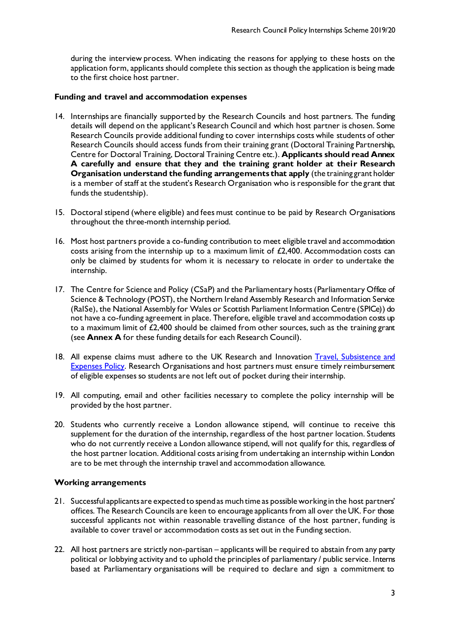during the interview process. When indicating the reasons for applying to these hosts on the application form, applicants should complete this section as though the application is being made to the first choice host partner.

#### **Funding and travel and accommodation expenses**

- 14. Internships are financially supported by the Research Councils and host partners. The funding details will depend on the applicant's Research Council and which host partner is chosen. Some Research Councils provide additional funding to cover internships costs while students of other Research Councils should access funds from their training grant (Doctoral Training Partnership, Centre for Doctoral Training, Doctoral Training Centre etc.). **Applicants should read Annex A carefully and ensure that they and the training grant holder at their Research Organisation understand the funding arrangements that apply** (the training grant holder is a member of staff at the student's Research Organisation who is responsible for the grant that funds the studentship).
- 15. Doctoral stipend (where eligible) and fees must continue to be paid by Research Organisations throughout the three-month internship period.
- 16. Most host partners provide a co-funding contribution to meet eligible travel and accommodation costs arising from the internship up to a maximum limit of £2,400. Accommodation costs can only be claimed by students for whom it is necessary to relocate in order to undertake the internship.
- 17. The Centre for Science and Policy (CSaP) and the Parliamentary hosts (Parliamentary Office of Science & Technology (POST), the Northern Ireland Assembly Research and Information Service (RaISe), the National Assembly for Wales or Scottish Parliament Information Centre (SPICe)) do not have a co-funding agreement in place. Therefore, eligible travel and accommodation costs up to a maximum limit of £2,400 should be claimed from other sources, such as the training grant (see **Annex A** for these funding details for each Research Council).
- 18. All expense claims must adhere to the UK Research and Innovation [Travel, Subsistence and](https://www.ukri.org/files/termsconditions/rcukukriterms/travel-subsistence-and-expenses-pdf/) **[Expenses Policy.](https://www.ukri.org/files/termsconditions/rcukukriterms/travel-subsistence-and-expenses-pdf/)** Research Organisations and host partners must ensure timely reimbursement of eligible expenses so students are not left out of pocket during their internship.
- 19. All computing, email and other facilities necessary to complete the policy internship will be provided by the host partner.
- 20. Students who currently receive a London allowance stipend, will continue to receive this supplement for the duration of the internship, regardless of the host partner location. Students who do not currently receive a London allowance stipend, will not qualify for this, regardless of the host partner location. Additional costs arising from undertaking an internship within London are to be met through the internship travel and accommodation allowance.

## **Working arrangements**

- 21. Successful applicants are expected to spend as much time as possible working in the host partners' offices. The Research Councils are keen to encourage applicants from all over the UK. For those successful applicants not within reasonable travelling distance of the host partner, funding is available to cover travel or accommodation costs as set out in the Funding section.
- 22. All host partners are strictly non-partisan applicants will be required to abstain from any party political or lobbying activity and to uphold the principles of parliamentary / public service. Interns based at Parliamentary organisations will be required to declare and sign a commitment to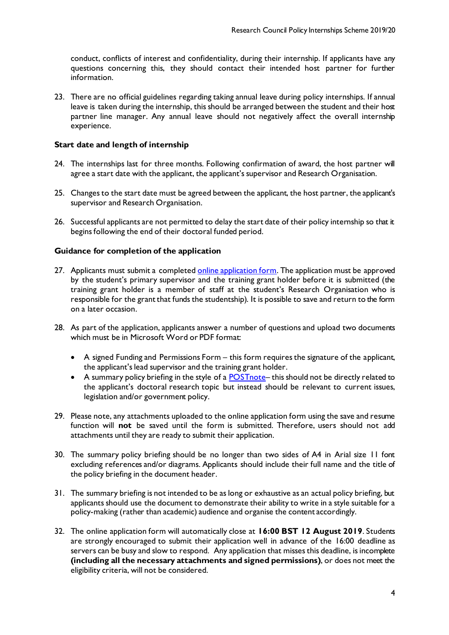conduct, conflicts of interest and confidentiality, during their internship. If applicants have any questions concerning this, they should contact their intended host partner for further information.

23. There are no official guidelines regarding taking annual leave during policy internships. If annual leave is taken during the internship, this should be arranged between the student and their host partner line manager. Any annual leave should not negatively affect the overall internship experience.

## **Start date and length of internship**

- 24. The internships last for three months. Following confirmation of award, the host partner will agree a start date with the applicant, the applicant's supervisor and Research Organisation.
- 25. Changes to the start date must be agreed between the applicant, the host partner, the applicant's supervisor and Research Organisation.
- 26. Successful applicants are not permitted to delay the start date of their policy internship so that it begins following the end of their doctoral funded period.

#### **Guidance for completion of the application**

- 27. Applicants must submit a complete[d online application form](https://nerc.formstack.com/forms/policyinternships). The application must be approved by the student's primary supervisor and the training grant holder before it is submitted (the training grant holder is a member of staff at the student's Research Organisation who is responsible for the grant that funds the studentship). It is possible to save and return to the form on a later occasion.
- 28. As part of the application, applicants answer a number of questions and upload two documents which must be in Microsoft Word or PDF format:
	- A signed Funding and Permissions Form this form requires the signature of the applicant, the applicant's lead supervisor and the training grant holder.
	- A summary policy briefing in the style of a **POSTnote** this should not be directly related to the applicant's doctoral research topic but instead should be relevant to current issues, legislation and/or government policy.
- 29. Please note, any attachments uploaded to the online application form using the save and resume function will **not** be saved until the form is submitted. Therefore, users should not add attachments until they are ready to submit their application.
- 30. The summary policy briefing should be no longer than two sides of A4 in Arial size 11 font excluding references and/or diagrams. Applicants should include their full name and the title of the policy briefing in the document header.
- 31. The summary briefing is not intended to be as long or exhaustive as an actual policy briefing, but applicants should use the document to demonstrate their ability to write in a style suitable for a policy-making (rather than academic) audience and organise the content accordingly.
- 32. The online application form will automatically close at **16:00 BST 12 August 2019**. Students are strongly encouraged to submit their application well in advance of the 16:00 deadline as servers can be busy and slow to respond. Any application that misses this deadline, is incomplete **(including all the necessary attachments and signed permissions)**, or does not meet the eligibility criteria, will not be considered.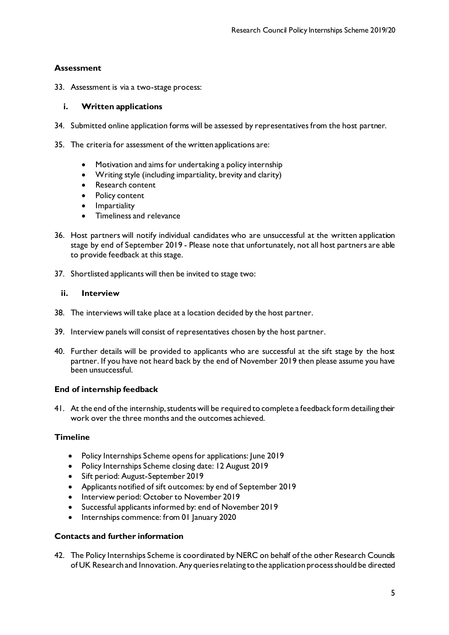# **Assessment**

33. Assessment is via a two-stage process:

## **i. Written applications**

- 34. Submitted online application forms will be assessed by representatives from the host partner.
- 35. The criteria for assessment of the written applications are:
	- Motivation and aims for undertaking a policy internship
	- Writing style (including impartiality, brevity and clarity)
	- Research content
	- Policy content
	- **•** Impartiality
	- Timeliness and relevance
- 36. Host partners will notify individual candidates who are unsuccessful at the written application stage by end of September 2019 - Please note that unfortunately, not all host partners are able to provide feedback at this stage.
- 37. Shortlisted applicants will then be invited to stage two:

## **ii. Interview**

- 38. The interviews will take place at a location decided by the host partner.
- 39. Interview panels will consist of representatives chosen by the host partner.
- 40. Further details will be provided to applicants who are successful at the sift stage by the host partner. If you have not heard back by the end of November 2019 then please assume you have been unsuccessful.

## **End of internship feedback**

41. At the end of the internship, students will be required to complete a feedback form detailing their work over the three months and the outcomes achieved.

## **Timeline**

- Policy Internships Scheme opens for applications: June 2019
- Policy Internships Scheme closing date: 12 August 2019
- Sift period: August-September 2019
- Applicants notified of sift outcomes: by end of September 2019
- Interview period: October to November 2019
- Successful applicants informed by: end of November 2019
- Internships commence: from 01 January 2020

## **Contacts and further information**

42. The Policy Internships Scheme is coordinated by NERC on behalf of the other Research Councils of UK Research and Innovation. Any queries relating to the application process should be directed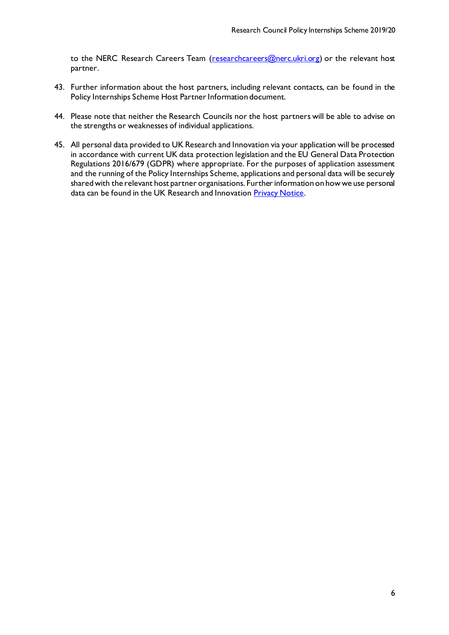to the NERC Research Careers Team [\(researchcareers@nerc.ukri.org](mailto:researchcareers@nerc.ukri.org)) or the relevant host partner.

- 43. Further information about the host partners, including relevant contacts, can be found in the Policy Internships Scheme Host Partner Information document.
- 44. Please note that neither the Research Councils nor the host partners will be able to advise on the strengths or weaknesses of individual applications.
- 45. All personal data provided to UK Research and Innovation via your application will be processed in accordance with current UK data protection legislation and the EU General Data Protection Regulations 2016/679 (GDPR) where appropriate. For the purposes of application assessment and the running of the Policy Internships Scheme, applications and personal data will be securely shared with the relevant host partner organisations. Further information on how we use personal data can be found in the UK Research and Innovatio[n Privacy Notice](https://www.ukri.org/privacy-notice/).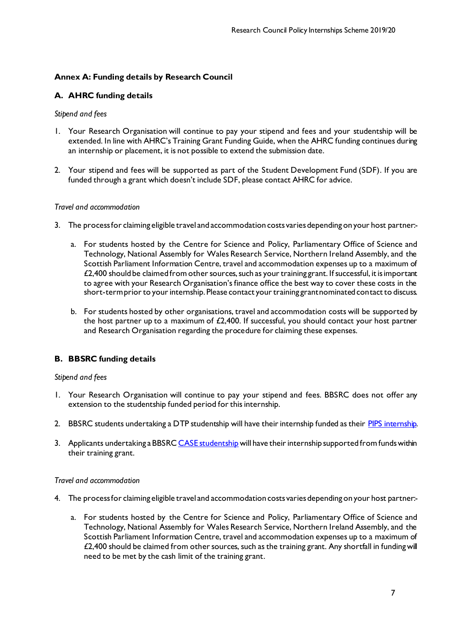# **Annex A: Funding details by Research Council**

# **A. AHRC funding details**

## *Stipend and fees*

- 1. Your Research Organisation will continue to pay your stipend and fees and your studentship will be extended. In line with AHRC's Training Grant Funding Guide, when the AHRC funding continues during an internship or placement, it is not possible to extend the submission date.
- 2. Your stipend and fees will be supported as part of the Student Development Fund (SDF). If you are funded through a grant which doesn't include SDF, please contact AHRC for advice.

## *Travel and accommodation*

- 3. The process for claiming eligible travel and accommodation costs varies depending on your host partner:
	- a. For students hosted by the Centre for Science and Policy, Parliamentary Office of Science and Technology, National Assembly for Wales Research Service, Northern Ireland Assembly, and the Scottish Parliament Information Centre, travel and accommodation expenses up to a maximum of £2,400 should be claimed from other sources, such as your training grant. If successful, it is important to agree with your Research Organisation's finance office the best way to cover these costs in the short-term prior to your internship. Please contact your training grant nominated contact to discuss.
	- b. For students hosted by other organisations, travel and accommodation costs will be supported by the host partner up to a maximum of  $£2,400$ . If successful, you should contact your host partner and Research Organisation regarding the procedure for claiming these expenses.

# **B. BBSRC funding details**

## *Stipend and fees*

- 1. Your Research Organisation will continue to pay your stipend and fees. BBSRC does not offer any extension to the studentship funded period for this internship.
- 2. BBSRC students undertaking a DTP studentship will have their internship funded as thei[r PIPS internship.](http://www.bbsrc.ac.uk/skills/investing-doctoral-training/pips/)
- 3. Applicants undertaking a BBSR[C CASE studentship](http://www.bbsrc.ac.uk/skills/investing-doctoral-training/case-partnerships/) will have their internship supported from funds within their training grant.

## *Travel and accommodation*

- 4. The process for claiming eligible travel and accommodation costs varies depending on your host partner:
	- a. For students hosted by the Centre for Science and Policy, Parliamentary Office of Science and Technology, National Assembly for Wales Research Service, Northern Ireland Assembly, and the Scottish Parliament Information Centre, travel and accommodation expenses up to a maximum of  $£2,400$  should be claimed from other sources, such as the training grant. Any shortfall in funding will need to be met by the cash limit of the training grant.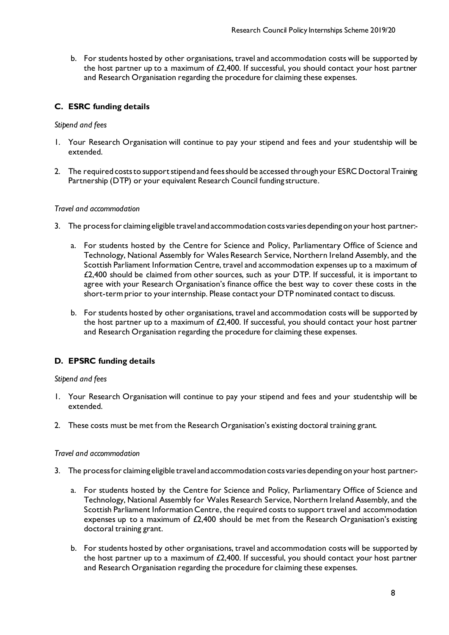b. For students hosted by other organisations, travel and accommodation costs will be supported by the host partner up to a maximum of  $£2,400$ . If successful, you should contact your host partner and Research Organisation regarding the procedure for claiming these expenses.

# **C. ESRC funding details**

#### *Stipend and fees*

- 1. Your Research Organisation will continue to pay your stipend and fees and your studentship will be extended.
- 2. The required costs to support stipend and fees should be accessed through your ESRC Doctoral Training Partnership (DTP) or your equivalent Research Council funding structure.

#### *Travel and accommodation*

- 3. The processfor claiming eligible travel and accommodation costs varies depending on your host partner:
	- a. For students hosted by the Centre for Science and Policy, Parliamentary Office of Science and Technology, National Assembly for Wales Research Service, Northern Ireland Assembly, and the Scottish Parliament Information Centre, travel and accommodation expenses up to a maximum of £2,400 should be claimed from other sources, such as your DTP. If successful, it is important to agree with your Research Organisation's finance office the best way to cover these costs in the short-term prior to your internship. Please contact your DTP nominated contact to discuss.
	- b. For students hosted by other organisations, travel and accommodation costs will be supported by the host partner up to a maximum of £2,400. If successful, you should contact your host partner and Research Organisation regarding the procedure for claiming these expenses.

## **D. EPSRC funding details**

#### *Stipend and fees*

- 1. Your Research Organisation will continue to pay your stipend and fees and your studentship will be extended.
- 2. These costs must be met from the Research Organisation's existing doctoral training grant.

#### *Travel and accommodation*

- 3. The process for claiming eligible travel and accommodation costs varies depending on your host partner:
	- a. For students hosted by the Centre for Science and Policy, Parliamentary Office of Science and Technology, National Assembly for Wales Research Service, Northern Ireland Assembly, and the Scottish Parliament Information Centre, the required costs to support travel and accommodation expenses up to a maximum of £2,400 should be met from the Research Organisation's existing doctoral training grant.
	- b. For students hosted by other organisations, travel and accommodation costs will be supported by the host partner up to a maximum of  $£2,400$ . If successful, you should contact your host partner and Research Organisation regarding the procedure for claiming these expenses.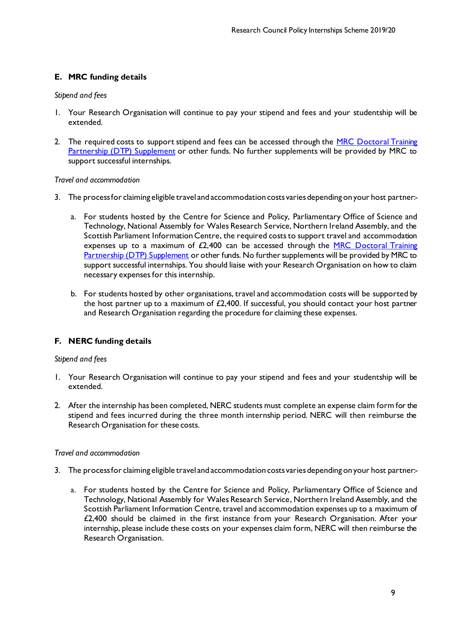# **E. MRC funding details**

#### *Stipend and fees*

- 1. Your Research Organisation will continue to pay your stipend and fees and your studentship will be extended.
- 2. The required costs to support stipend and fees can be accessed through the MRC Doctoral Training [Partnership \(DTP\) Supplement](https://www.mrc.ac.uk/skills-careers/studentships/studentship-guidance/additional-support/) or other funds. No further supplements will be provided by MRC to support successful internships.

#### *Travel and accommodation*

- 3. The process for claiming eligible travel and accommodation costs varies depending on your host partner:
	- a. For students hosted by the Centre for Science and Policy, Parliamentary Office of Science and Technology, National Assembly for Wales Research Service, Northern Ireland Assembly, and the Scottish Parliament Information Centre, the required costs to support travel and accommodation expenses up to a maximum of  $E2,400$  can be accessed through the MRC Doctoral Training [Partnership \(DTP\) Supplement](https://www.mrc.ac.uk/skills-careers/studentships/studentship-guidance/additional-support/) or other funds. No further supplements will be provided by MRC to support successful internships. You should liaise with your Research Organisation on how to claim necessary expenses for this internship.
	- b. For students hosted by other organisations, travel and accommodation costs will be supported by the host partner up to a maximum of £2,400. If successful, you should contact your host partner and Research Organisation regarding the procedure for claiming these expenses.

## **F. NERC funding details**

#### *Stipend and fees*

- 1. Your Research Organisation will continue to pay your stipend and fees and your studentship will be extended.
- 2. After the internship has been completed, NERC students must complete an expense claim form for the stipend and fees incurred during the three month internship period. NERC will then reimburse the Research Organisation for these costs.

#### *Travel and accommodation*

- 3. The process for claiming eligible travel and accommodation costs varies depending on your host partner:
	- a. For students hosted by the Centre for Science and Policy, Parliamentary Office of Science and Technology, National Assembly for Wales Research Service, Northern Ireland Assembly, and the Scottish Parliament Information Centre, travel and accommodation expenses up to a maximum of £2,400 should be claimed in the first instance from your Research Organisation. After your internship, please include these costs on your expenses claim form, NERC will then reimburse the Research Organisation.